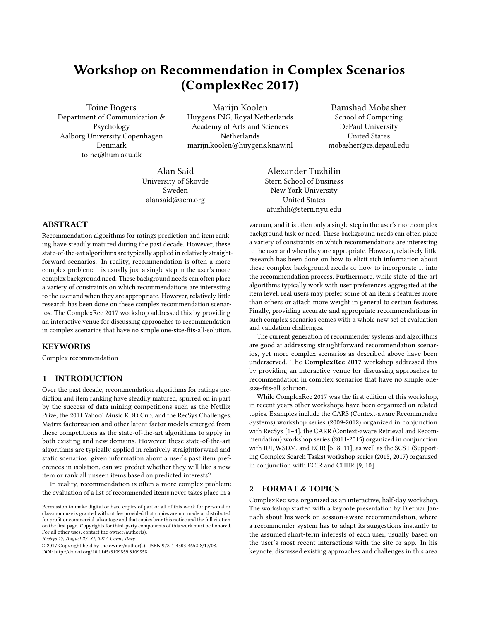# Workshop on Recommendation in Complex Scenarios (ComplexRec 2017)

Toine Bogers Department of Communication & Psychology Aalborg University Copenhagen Denmark toine@hum.aau.dk

Marijn Koolen Huygens ING, Royal Netherlands Academy of Arts and Sciences Netherlands marijn.koolen@huygens.knaw.nl

Bamshad Mobasher School of Computing DePaul University United States mobasher@cs.depaul.edu

Alan Said University of Skövde Sweden alansaid@acm.org

Alexander Tuzhilin Stern School of Business New York University United States atuzhili@stern.nyu.edu

## ABSTRACT

Recommendation algorithms for ratings prediction and item ranking have steadily matured during the past decade. However, these state-of-the-art algorithms are typically applied in relatively straightforward scenarios. In reality, recommendation is often a more complex problem: it is usually just a single step in the user's more complex background need. These background needs can often place a variety of constraints on which recommendations are interesting to the user and when they are appropriate. However, relatively little research has been done on these complex recommendation scenarios. The ComplexRec 2017 workshop addressed this by providing an interactive venue for discussing approaches to recommendation in complex scenarios that have no simple one-size-fits-all-solution.

### **KEYWORDS**

Complex recommendation

## 1 INTRODUCTION

Over the past decade, recommendation algorithms for ratings prediction and item ranking have steadily matured, spurred on in part by the success of data mining competitions such as the Netflix Prize, the 2011 Yahoo! Music KDD Cup, and the RecSys Challenges. Matrix factorization and other latent factor models emerged from these competitions as the state-of-the-art algorithms to apply in both existing and new domains. However, these state-of-the-art algorithms are typically applied in relatively straightforward and static scenarios: given information about a user's past item preferences in isolation, can we predict whether they will like a new item or rank all unseen items based on predicted interests?

In reality, recommendation is often a more complex problem: the evaluation of a list of recommended items never takes place in a

RecSys'17, August 27–31, 2017, Como, Italy.

DOI: http://dx.doi.org/10.1145/3109859.3109958

vacuum, and it is often only a single step in the user's more complex background task or need. These background needs can often place a variety of constraints on which recommendations are interesting to the user and when they are appropriate. However, relatively little research has been done on how to elicit rich information about these complex background needs or how to incorporate it into the recommendation process. Furthermore, while state-of-the-art algorithms typically work with user preferences aggregated at the item level, real users may prefer some of an item's features more than others or attach more weight in general to certain features. Finally, providing accurate and appropriate recommendations in such complex scenarios comes with a whole new set of evaluation and validation challenges.

The current generation of recommender systems and algorithms are good at addressing straightforward recommendation scenarios, yet more complex scenarios as described above have been underserved. The ComplexRec 2017 workshop addressed this by providing an interactive venue for discussing approaches to recommendation in complex scenarios that have no simple onesize-fits-all solution.

While ComplexRec 2017 was the first edition of this workshop, in recent years other workshops have been organized on related topics. Examples include the CARS (Context-aware Recommender Systems) workshop series (2009-2012) organized in conjunction with RecSys [\[1–](#page-1-0)[4\]](#page-1-1), the CARR (Context-aware Retrieval and Recommendation) workshop series (2011-2015) organized in conjunction with IUI, WSDM, and ECIR [\[5](#page-1-2)[–8,](#page-1-3) [11\]](#page-1-4), as well as the SCST (Supporting Complex Search Tasks) workshop series (2015, 2017) organized in conjunction with ECIR and CHIIR [\[9,](#page-1-5) [10\]](#page-1-6).

## 2 FORMAT & TOPICS

ComplexRec was organized as an interactive, half-day workshop. The workshop started with a keynote presentation by Dietmar Jannach about his work on session-aware recommendation, where a recommender system has to adapt its suggestions instantly to the assumed short-term interests of each user, usually based on the user's most recent interactions with the site or app. In his keynote, discussed existing approaches and challenges in this area

Permission to make digital or hard copies of part or all of this work for personal or classroom use is granted without fee provided that copies are not made or distributed for profit or commercial advantage and that copies bear this notice and the full citation on the first page. Copyrights for third-party components of this work must be honored. For all other uses, contact the owner/author(s).

<sup>©</sup> 2017 Copyright held by the owner/author(s). ISBN 978-1-4503-4652-8/17/08.